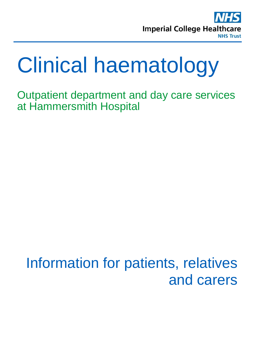

# Clinical haematology

Outpatient department and day care services at Hammersmith Hospital

## Information for patients, relatives and carers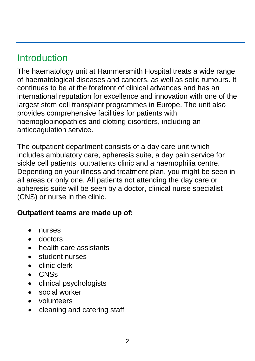## **Introduction**

The haematology unit at Hammersmith Hospital treats a wide range of haematological diseases and cancers, as well as solid tumours. It continues to be at the forefront of clinical advances and has an international reputation for excellence and innovation with one of the largest stem cell transplant programmes in Europe. The unit also provides comprehensive facilities for patients with haemoglobinopathies and clotting disorders, including an anticoagulation service.

The outpatient department consists of a day care unit which includes ambulatory care, apheresis suite, a day pain service for sickle cell patients, outpatients clinic and a haemophilia centre. Depending on your illness and treatment plan, you might be seen in all areas or only one. All patients not attending the day care or apheresis suite will be seen by a doctor, clinical nurse specialist (CNS) or nurse in the clinic.

#### **Outpatient teams are made up of:**

- nurses
- doctors
- health care assistants
- student nurses
- clinic clerk
- CNSs
- clinical psychologists
- social worker
- volunteers
- cleaning and catering staff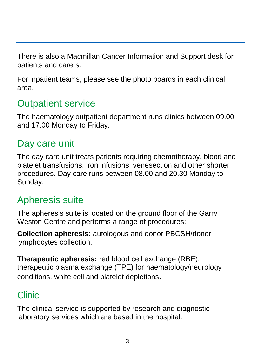There is also a Macmillan Cancer Information and Support desk for patients and carers.

For inpatient teams, please see the photo boards in each clinical area.

## Outpatient service

The haematology outpatient department runs clinics between 09.00 and 17.00 Monday to Friday.

## Day care unit

The day care unit treats patients requiring chemotherapy, blood and platelet transfusions, iron infusions, venesection and other shorter procedures. Day care runs between 08.00 and 20.30 Monday to Sunday.

#### Apheresis suite

The apheresis suite is located on the ground floor of the Garry Weston Centre and performs a range of procedures:

**Collection apheresis:** autologous and donor PBCSH/donor lymphocytes collection.

**Therapeutic apheresis:** red blood cell exchange (RBE), therapeutic plasma exchange (TPE) for haematology/neurology conditions, white cell and platelet depletions.

## Clinic

The clinical service is supported by research and diagnostic laboratory services which are based in the hospital.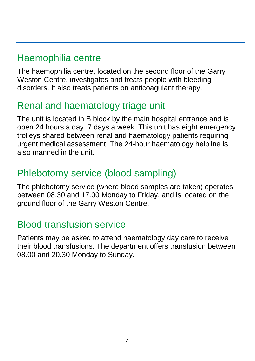### Haemophilia centre

The haemophilia centre, located on the second floor of the Garry Weston Centre, investigates and treats people with bleeding disorders. It also treats patients on anticoagulant therapy.

#### Renal and haematology triage unit

The unit is located in B block by the main hospital entrance and is open 24 hours a day, 7 days a week. This unit has eight emergency trolleys shared between renal and haematology patients requiring urgent medical assessment. The 24-hour haematology helpline is also manned in the unit.

## Phlebotomy service (blood sampling)

The phlebotomy service (where blood samples are taken) operates between 08.30 and 17.00 Monday to Friday, and is located on the ground floor of the Garry Weston Centre.

#### Blood transfusion service

Patients may be asked to attend haematology day care to receive their blood transfusions. The department offers transfusion between 08.00 and 20.30 Monday to Sunday.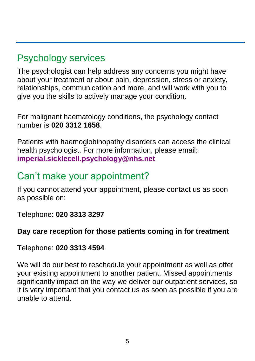### Psychology services

The psychologist can help address any concerns you might have about your treatment or about pain, depression, stress or anxiety, relationships, communication and more, and will work with you to give you the skills to actively manage your condition.

For malignant haematology conditions, the psychology contact number is **020 3312 1658**.

Patients with haemoglobinopathy disorders can access the clinical health psychologist. For more information, please email: **[imperial.sicklecell.psychology@nhs.net](mailto:imperial.sicklecell.psychology@nhs.net)**

#### Can't make your appointment?

If you cannot attend your appointment, please contact us as soon as possible on:

Telephone: **020 3313 3297**

#### **Day care reception for those patients coming in for treatment**

Telephone: **020 3313 4594**

We will do our best to reschedule your appointment as well as offer your existing appointment to another patient. Missed appointments significantly impact on the way we deliver our outpatient services, so it is very important that you contact us as soon as possible if you are unable to attend.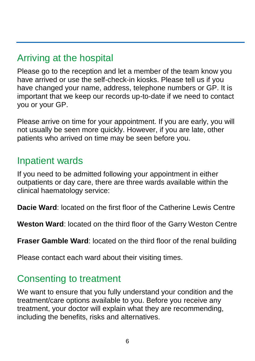## Arriving at the hospital

Please go to the reception and let a member of the team know you have arrived or use the self-check-in kiosks. Please tell us if you have changed your name, address, telephone numbers or GP. It is important that we keep our records up-to-date if we need to contact you or your GP.

Please arrive on time for your appointment. If you are early, you will not usually be seen more quickly. However, if you are late, other patients who arrived on time may be seen before you.

#### Inpatient wards

If you need to be admitted following your appointment in either outpatients or day care, there are three wards available within the clinical haematology service:

**Dacie Ward**: located on the first floor of the Catherine Lewis Centre

**Weston Ward**: located on the third floor of the Garry Weston Centre

**Fraser Gamble Ward**: located on the third floor of the renal building

Please contact each ward about their visiting times.

#### Consenting to treatment

We want to ensure that you fully understand your condition and the treatment/care options available to you. Before you receive any treatment, your doctor will explain what they are recommending, including the benefits, risks and alternatives.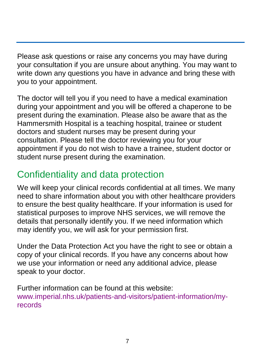Please ask questions or raise any concerns you may have during your consultation if you are unsure about anything. You may want to write down any questions you have in advance and bring these with you to your appointment.

The doctor will tell you if you need to have a medical examination during your appointment and you will be offered a chaperone to be present during the examination. Please also be aware that as the Hammersmith Hospital is a teaching hospital, trainee or student doctors and student nurses may be present during your consultation. Please tell the doctor reviewing you for your appointment if you do not wish to have a trainee, student doctor or student nurse present during the examination.

## Confidentiality and data protection

We will keep your clinical records confidential at all times. We many need to share information about you with other healthcare providers to ensure the best quality healthcare. If your information is used for statistical purposes to improve NHS services, we will remove the details that personally identify you. If we need information which may identify you, we will ask for your permission first.

Under the Data Protection Act you have the right to see or obtain a copy of your clinical records. If you have any concerns about how we use your information or need any additional advice, please speak to your doctor.

Further information can be found at this website: [www.imperial.nhs.uk/patients-and-visitors/patient-information/my](http://www.imperial.nhs.uk/patients-and-visitors/patient-information/my-records)[records](http://www.imperial.nhs.uk/patients-and-visitors/patient-information/my-records)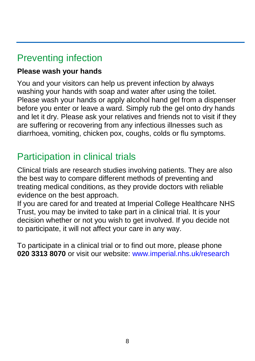## Preventing infection

#### **Please wash your hands**

You and your visitors can help us prevent infection by always washing your hands with soap and water after using the toilet. Please wash your hands or apply alcohol hand gel from a dispenser before you enter or leave a ward. Simply rub the gel onto dry hands and let it dry. Please ask your relatives and friends not to visit if they are suffering or recovering from any infectious illnesses such as diarrhoea, vomiting, chicken pox, coughs, colds or flu symptoms.

#### Participation in clinical trials

Clinical trials are research studies involving patients. They are also the best way to compare different methods of preventing and treating medical conditions, as they provide doctors with reliable evidence on the best approach.

If you are cared for and treated at Imperial College Healthcare NHS Trust, you may be invited to take part in a clinical trial. It is your decision whether or not you wish to get involved. If you decide not to participate, it will not affect your care in any way.

To participate in a clinical trial or to find out more, please phone **020 3313 8070** or visit our website: [www.imperial.nhs.uk/research](http://www.imperial.nhs.uk/research)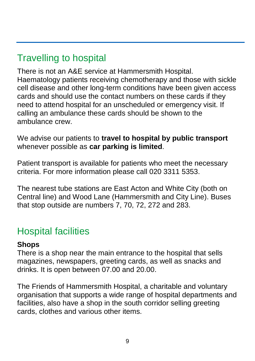## Travelling to hospital

There is not an A&E service at Hammersmith Hospital. Haematology patients receiving chemotherapy and those with sickle cell disease and other long-term conditions have been given access cards and should use the contact numbers on these cards if they need to attend hospital for an unscheduled or emergency visit. If calling an ambulance these cards should be shown to the ambulance crew.

We advise our patients to **travel to hospital by public transport** whenever possible as **car parking is limited**.

Patient transport is available for patients who meet the necessary criteria. For more information please call 020 3311 5353.

The nearest tube stations are East Acton and White City (both on Central line) and Wood Lane (Hammersmith and City Line). Buses that stop outside are numbers 7, 70, 72, 272 and 283.

#### Hospital facilities

#### **Shops**

There is a shop near the main entrance to the hospital that sells magazines, newspapers, greeting cards, as well as snacks and drinks. It is open between 07.00 and 20.00.

The Friends of Hammersmith Hospital, a charitable and voluntary organisation that supports a wide range of hospital departments and facilities, also have a shop in the south corridor selling greeting cards, clothes and various other items.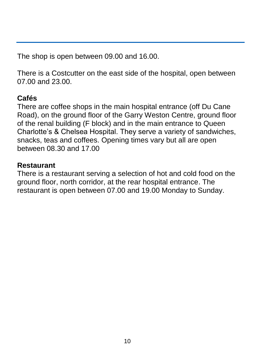The shop is open between 09.00 and 16.00.

There is a Costcutter on the east side of the hospital, open between 07.00 and 23.00.

#### **Cafés**

There are coffee shops in the main hospital entrance (off Du Cane Road), on the ground floor of the Garry Weston Centre, ground floor of the renal building (F block) and in the main entrance to Queen Charlotte's & Chelsea Hospital. They serve a variety of sandwiches, snacks, teas and coffees. Opening times vary but all are open between 08.30 and 17.00

#### **Restaurant**

There is a restaurant serving a selection of hot and cold food on the ground floor, north corridor, at the rear hospital entrance. The restaurant is open between 07.00 and 19.00 Monday to Sunday.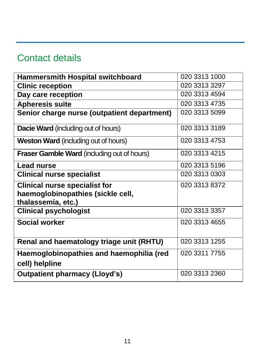## Contact details

| <b>Hammersmith Hospital switchboard</b>                                                         | 020 3313 1000 |
|-------------------------------------------------------------------------------------------------|---------------|
| <b>Clinic reception</b>                                                                         | 020 3313 3297 |
| Day care reception                                                                              | 020 3313 4594 |
| <b>Apheresis suite</b>                                                                          | 020 3313 4735 |
| Senior charge nurse (outpatient department)                                                     | 020 3313 5099 |
| <b>Dacie Ward</b> (including out of hours)                                                      | 020 3313 3189 |
| <b>Weston Ward</b> (including out of hours)                                                     | 020 3313 4753 |
| Fraser Gamble Ward (including out of hours)                                                     | 020 3313 4215 |
| <b>Lead nurse</b>                                                                               | 020 3313 5196 |
| <b>Clinical nurse specialist</b>                                                                | 020 3313 0303 |
| <b>Clinical nurse specialist for</b><br>haemoglobinopathies (sickle cell,<br>thalassemia, etc.) | 020 3313 8372 |
| <b>Clinical psychologist</b>                                                                    | 020 3313 3357 |
| <b>Social worker</b>                                                                            | 020 3313 4655 |
| Renal and haematology triage unit (RHTU)                                                        | 020 3313 1255 |
| Haemoglobinopathies and haemophilia (red<br>cell) helpline                                      | 020 3311 7755 |
| <b>Outpatient pharmacy (Lloyd's)</b>                                                            | 020 3313 2360 |